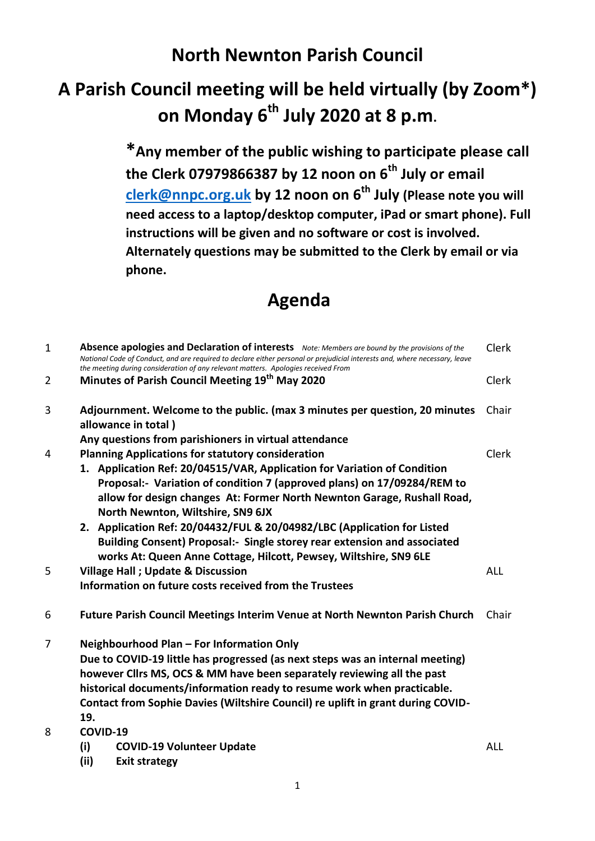## **North Newnton Parish Council**

## **A Parish Council meeting will be held virtually (by Zoom\*) on Monday 6th July 2020 at 8 p.m.**

**\*Any member of the public wishing to participate please call the Clerk 07979866387 by 12 noon on 6th July or email [clerk@nnpc.org.uk](mailto:clerk@nnpc.org.uk) by 12 noon on 6th July (Please note you will need access to a laptop/desktop computer, iPad or smart phone). Full instructions will be given and no software or cost is involved. Alternately questions may be submitted to the Clerk by email or via phone.**

## **Agenda**

| $\mathbf{1}$ | Absence apologies and Declaration of interests Note: Members are bound by the provisions of the<br>National Code of Conduct, and are required to declare either personal or prejudicial interests and, where necessary, leave<br>the meeting during consideration of any relevant matters. Apologies received From                                                                       | Clerk        |  |
|--------------|------------------------------------------------------------------------------------------------------------------------------------------------------------------------------------------------------------------------------------------------------------------------------------------------------------------------------------------------------------------------------------------|--------------|--|
| 2            | Minutes of Parish Council Meeting 19 <sup>th</sup> May 2020                                                                                                                                                                                                                                                                                                                              | <b>Clerk</b> |  |
| 3            | Adjournment. Welcome to the public. (max 3 minutes per question, 20 minutes<br>Chair<br>allowance in total)                                                                                                                                                                                                                                                                              |              |  |
| 4            | Any questions from parishioners in virtual attendance<br><b>Planning Applications for statutory consideration</b><br>1. Application Ref: 20/04515/VAR, Application for Variation of Condition<br>Proposal:- Variation of condition 7 (approved plans) on 17/09284/REM to<br>allow for design changes At: Former North Newnton Garage, Rushall Road,<br>North Newnton, Wiltshire, SN9 6JX | Clerk        |  |
|              | 2. Application Ref: 20/04432/FUL & 20/04982/LBC (Application for Listed<br>Building Consent) Proposal:- Single storey rear extension and associated<br>works At: Queen Anne Cottage, Hilcott, Pewsey, Wiltshire, SN9 6LE                                                                                                                                                                 |              |  |
| 5            | <b>Village Hall ; Update &amp; Discussion</b><br>Information on future costs received from the Trustees                                                                                                                                                                                                                                                                                  | <b>ALL</b>   |  |
| 6            | Future Parish Council Meetings Interim Venue at North Newnton Parish Church                                                                                                                                                                                                                                                                                                              | Chair        |  |
| 7            | Neighbourhood Plan - For Information Only<br>Due to COVID-19 little has progressed (as next steps was an internal meeting)<br>however Cllrs MS, OCS & MM have been separately reviewing all the past<br>historical documents/information ready to resume work when practicable.<br>Contact from Sophie Davies (Wiltshire Council) re uplift in grant during COVID-<br>19.                |              |  |
| 8            | COVID-19<br>(i)<br><b>COVID-19 Volunteer Update</b><br>(ii)<br><b>Exit strategy</b>                                                                                                                                                                                                                                                                                                      | <b>ALL</b>   |  |